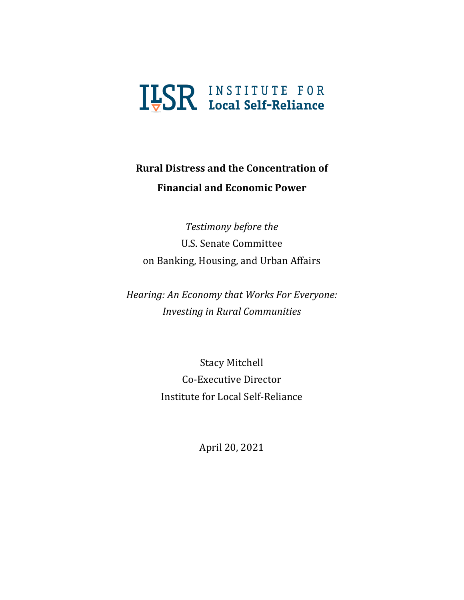# **ILSR INSTITUTE FOR**

## **Rural Distress and the Concentration of Financial and Economic Power**

*Testimony before the* U.S. Senate Committee on Banking, Housing, and Urban Affairs

*Hearing: An Economy that Works For Everyone: Investing in Rural Communities* 

> Stacy Mitchell Co-Executive Director Institute for Local Self-Reliance

> > April 20, 2021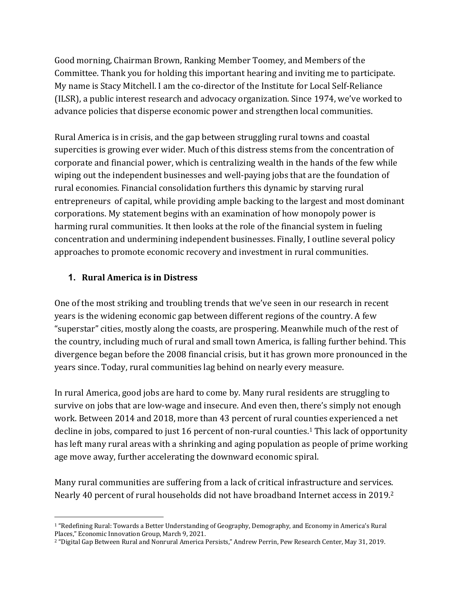Good morning, Chairman Brown, Ranking Member Toomey, and Members of the Committee. Thank you for holding this important hearing and inviting me to participate. My name is Stacy Mitchell. I am the co-director of the Institute for Local Self-Reliance  $(ILSR)$ , a public interest research and advocacy organization. Since 1974, we've worked to advance policies that disperse economic power and strengthen local communities.

Rural America is in crisis, and the gap between struggling rural towns and coastal supercities is growing ever wider. Much of this distress stems from the concentration of corporate and financial power, which is centralizing wealth in the hands of the few while wiping out the independent businesses and well-paying jobs that are the foundation of rural economies. Financial consolidation furthers this dynamic by starving rural entrepreneurs of capital, while providing ample backing to the largest and most dominant corporations. My statement begins with an examination of how monopoly power is harming rural communities. It then looks at the role of the financial system in fueling concentration and undermining independent businesses. Finally, I outline several policy approaches to promote economic recovery and investment in rural communities.

#### **1. Rural America is in Distress**

One of the most striking and troubling trends that we've seen in our research in recent years is the widening economic gap between different regions of the country. A few "superstar" cities, mostly along the coasts, are prospering. Meanwhile much of the rest of the country, including much of rural and small town America, is falling further behind. This divergence began before the 2008 financial crisis, but it has grown more pronounced in the years since. Today, rural communities lag behind on nearly every measure.

In rural America, good jobs are hard to come by. Many rural residents are struggling to survive on jobs that are low-wage and insecure. And even then, there's simply not enough work. Between 2014 and 2018, more than 43 percent of rural counties experienced a net decline in jobs, compared to just 16 percent of non-rural counties.<sup>1</sup> This lack of opportunity has left many rural areas with a shrinking and aging population as people of prime working age move away, further accelerating the downward economic spiral.

Many rural communities are suffering from a lack of critical infrastructure and services. Nearly 40 percent of rural households did not have broadband Internet access in 2019.<sup>2</sup>

<sup>&</sup>lt;sup>1</sup> "Redefining Rural: Towards a Better Understanding of Geography, Demography, and Economy in America's Rural Places," Economic Innovation Group, March 9, 2021.

<sup>&</sup>lt;sup>2</sup> "Digital Gap Between Rural and Nonrural America Persists," Andrew Perrin, Pew Research Center, May 31, 2019.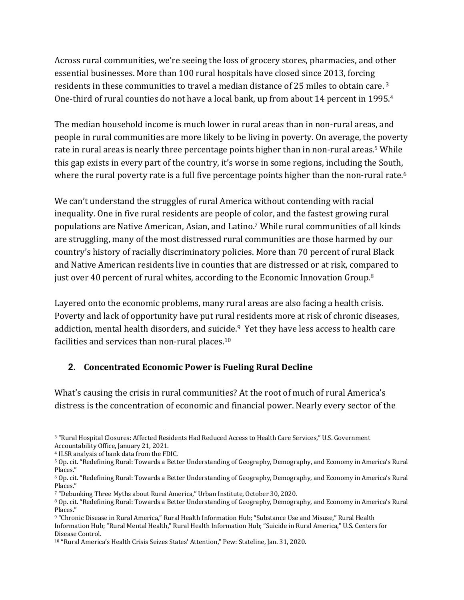Across rural communities, we're seeing the loss of grocery stores, pharmacies, and other essential businesses. More than 100 rural hospitals have closed since 2013, forcing residents in these communities to travel a median distance of 25 miles to obtain care.<sup>3</sup> One-third of rural counties do not have a local bank, up from about 14 percent in 1995.<sup>4</sup>

The median household income is much lower in rural areas than in non-rural areas, and people in rural communities are more likely to be living in poverty. On average, the poverty rate in rural areas is nearly three percentage points higher than in non-rural areas.<sup>5</sup> While this gap exists in every part of the country, it's worse in some regions, including the South, where the rural poverty rate is a full five percentage points higher than the non-rural rate.<sup>6</sup>

We can't understand the struggles of rural America without contending with racial inequality. One in five rural residents are people of color, and the fastest growing rural populations are Native American, Asian, and Latino.<sup>7</sup> While rural communities of all kinds are struggling, many of the most distressed rural communities are those harmed by our country's history of racially discriminatory policies. More than 70 percent of rural Black and Native American residents live in counties that are distressed or at risk, compared to just over 40 percent of rural whites, according to the Economic Innovation Group.<sup>8</sup>

Layered onto the economic problems, many rural areas are also facing a health crisis. Poverty and lack of opportunity have put rural residents more at risk of chronic diseases, addiction, mental health disorders, and suicide.<sup>9</sup> Yet they have less access to health care facilities and services than non-rural places.<sup>10</sup>

#### **2. Concentrated Economic Power is Fueling Rural Decline**

What's causing the crisis in rural communities? At the root of much of rural America's distress is the concentration of economic and financial power. Nearly every sector of the

<sup>&</sup>lt;sup>3</sup> "Rural Hospital Closures: Affected Residents Had Reduced Access to Health Care Services," U.S. Government Accountability Office, January 21, 2021.

<sup>&</sup>lt;sup>4</sup> ILSR analysis of bank data from the FDIC.

<sup>&</sup>lt;sup>5</sup> Op. cit. "Redefining Rural: Towards a Better Understanding of Geography, Demography, and Economy in America's Rural Places."

<sup>&</sup>lt;sup>6</sup> Op. cit. "Redefining Rural: Towards a Better Understanding of Geography, Demography, and Economy in America's Rural Places."

<sup>7 &</sup>quot;Debunking Three Myths about Rural America," Urban Institute, October 30, 2020.

<sup>&</sup>lt;sup>8</sup> Op. cit. "Redefining Rural: Towards a Better Understanding of Geography, Demography, and Economy in America's Rural Places."

<sup>9 &</sup>quot;Chronic Disease in Rural America," Rural Health Information Hub; "Substance Use and Misuse," Rural Health Information Hub; "Rural Mental Health," Rural Health Information Hub; "Suicide in Rural America," U.S. Centers for Disease Control.

<sup>10 &</sup>quot;Rural America's Health Crisis Seizes States' Attention," Pew: Stateline, Jan. 31, 2020.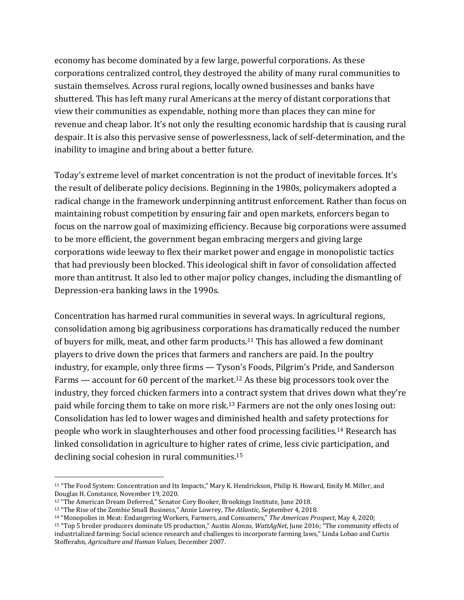economy has become dominated by a few large, powerful corporations. As these corporations centralized control, they destroyed the ability of many rural communities to sustain themselves. Across rural regions, locally owned businesses and banks have shuttered. This has left many rural Americans at the mercy of distant corporations that view their communities as expendable, nothing more than places they can mine for revenue and cheap labor. It's not only the resulting economic hardship that is causing rural despair. It is also this pervasive sense of powerlessness, lack of self-determination, and the inability to imagine and bring about a better future.

Today's extreme level of market concentration is not the product of inevitable forces. It's the result of deliberate policy decisions. Beginning in the 1980s, policymakers adopted a radical change in the framework underpinning antitrust enforcement. Rather than focus on maintaining robust competition by ensuring fair and open markets, enforcers began to focus on the narrow goal of maximizing efficiency. Because big corporations were assumed to be more efficient, the government began embracing mergers and giving large corporations wide leeway to flex their market power and engage in monopolistic tactics that had previously been blocked. This ideological shift in favor of consolidation affected more than antitrust. It also led to other major policy changes, including the dismantling of Depression-era banking laws in the 1990s.

Concentration has harmed rural communities in several ways. In agricultural regions, consolidation among big agribusiness corporations has dramatically reduced the number of buyers for milk, meat, and other farm products.<sup>11</sup> This has allowed a few dominant players to drive down the prices that farmers and ranchers are paid. In the poultry industry, for example, only three firms - Tyson's Foods, Pilgrim's Pride, and Sanderson Farms — account for 60 percent of the market.<sup>12</sup> As these big processors took over the industry, they forced chicken farmers into a contract system that drives down what they're paid while forcing them to take on more risk.<sup>13</sup> Farmers are not the only ones losing out: Consolidation has led to lower wages and diminished health and safety protections for people who work in slaughterhouses and other food processing facilities.<sup>14</sup> Research has linked consolidation in agriculture to higher rates of crime, less civic participation, and declining social cohesion in rural communities. $15$ 

<sup>11 &</sup>quot;The Food System: Concentration and Its Impacts," Mary K. Hendrickson, Philip H. Howard, Emily M. Miller, and Douglas H. Constance, November 19, 2020.

<sup>&</sup>lt;sup>12</sup> "The American Dream Deferred," Senator Cory Booker, Brookings Institute, June 2018.

<sup>&</sup>lt;sup>13</sup> "The Rise of the Zombie Small Business," Annie Lowrey, *The Atlantic*, September 4, 2018.

<sup>&</sup>lt;sup>14</sup> "Monopolies in Meat: Endangering Workers, Farmers, and Consumers," *The American Prospect*, May 4, 2020;

<sup>&</sup>lt;sup>15</sup> "Top 5 broiler producers dominate US production," Austin Alonzo, *WattAgNet*, June 2016; "The community effects of industrialized farming: Social science research and challenges to incorporate farming laws," Linda Lobao and Curtis Stofferahn, *Agriculture* and Human Values, December 2007.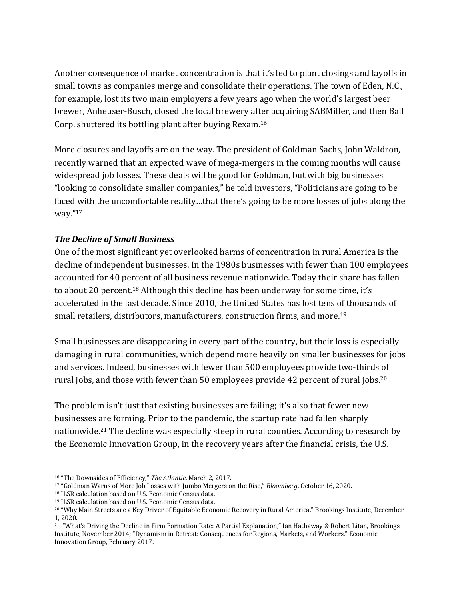Another consequence of market concentration is that it's led to plant closings and layoffs in small towns as companies merge and consolidate their operations. The town of Eden, N.C., for example, lost its two main employers a few years ago when the world's largest beer brewer, Anheuser-Busch, closed the local brewery after acquiring SABMiller, and then Ball Corp. shuttered its bottling plant after buying Rexam.<sup>16</sup>

More closures and layoffs are on the way. The president of Goldman Sachs, John Waldron, recently warned that an expected wave of mega-mergers in the coming months will cause widespread job losses. These deals will be good for Goldman, but with big businesses "looking to consolidate smaller companies," he told investors, "Politicians are going to be faced with the uncomfortable reality...that there's going to be more losses of jobs along the way."17

#### *The Decline of Small Business*

One of the most significant yet overlooked harms of concentration in rural America is the decline of independent businesses. In the 1980s businesses with fewer than 100 employees accounted for 40 percent of all business revenue nationwide. Today their share has fallen to about 20 percent.<sup>18</sup> Although this decline has been underway for some time, it's accelerated in the last decade. Since 2010, the United States has lost tens of thousands of small retailers, distributors, manufacturers, construction firms, and more.<sup>19</sup>

Small businesses are disappearing in every part of the country, but their loss is especially damaging in rural communities, which depend more heavily on smaller businesses for jobs and services. Indeed, businesses with fewer than 500 employees provide two-thirds of rural jobs, and those with fewer than 50 employees provide 42 percent of rural jobs.<sup>20</sup>

The problem isn't just that existing businesses are failing; it's also that fewer new businesses are forming. Prior to the pandemic, the startup rate had fallen sharply nationwide.<sup>21</sup> The decline was especially steep in rural counties. According to research by the Economic Innovation Group, in the recovery years after the financial crisis, the U.S.

<sup>&</sup>lt;sup>16</sup> "The Downsides of Efficiency," *The Atlantic*, March 2, 2017.

<sup>&</sup>lt;sup>17</sup> "Goldman Warns of More Job Losses with Jumbo Mergers on the Rise," *Bloomberg*, October 16, 2020.

<sup>18</sup> ILSR calculation based on U.S. Economic Census data.

<sup>&</sup>lt;sup>19</sup> ILSR calculation based on U.S. Economic Census data.

<sup>&</sup>lt;sup>20</sup> "Why Main Streets are a Key Driver of Equitable Economic Recovery in Rural America," Brookings Institute, December 1, 2020. 

<sup>&</sup>lt;sup>21</sup> "What's Driving the Decline in Firm Formation Rate: A Partial Explanation," Ian Hathaway & Robert Litan, Brookings Institute, November 2014; "Dynamism in Retreat: Consequences for Regions, Markets, and Workers," Economic Innovation Group, February 2017.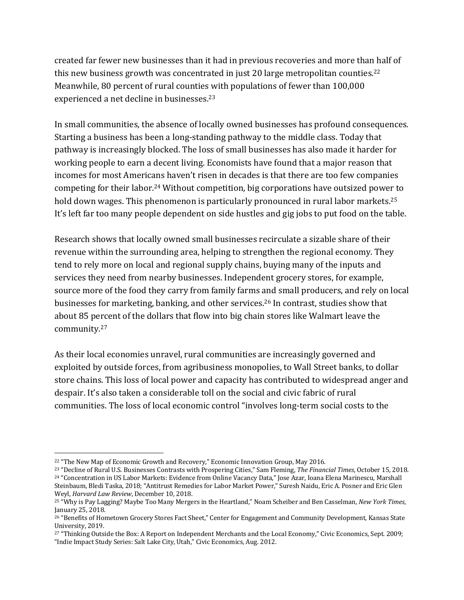created far fewer new businesses than it had in previous recoveries and more than half of this new business growth was concentrated in just 20 large metropolitan counties.<sup>22</sup> Meanwhile, 80 percent of rural counties with populations of fewer than 100,000 experienced a net decline in businesses.<sup>23</sup>

In small communities, the absence of locally owned businesses has profound consequences. Starting a business has been a long-standing pathway to the middle class. Today that pathway is increasingly blocked. The loss of small businesses has also made it harder for working people to earn a decent living. Economists have found that a major reason that incomes for most Americans haven't risen in decades is that there are too few companies competing for their labor.<sup>24</sup> Without competition, big corporations have outsized power to hold down wages. This phenomenon is particularly pronounced in rural labor markets.<sup>25</sup> It's left far too many people dependent on side hustles and gig jobs to put food on the table.

Research shows that locally owned small businesses recirculate a sizable share of their revenue within the surrounding area, helping to strengthen the regional economy. They tend to rely more on local and regional supply chains, buying many of the inputs and services they need from nearby businesses. Independent grocery stores, for example, source more of the food they carry from family farms and small producers, and rely on local businesses for marketing, banking, and other services.<sup>26</sup> In contrast, studies show that about 85 percent of the dollars that flow into big chain stores like Walmart leave the community.27

As their local economies unravel, rural communities are increasingly governed and exploited by outside forces, from agribusiness monopolies, to Wall Street banks, to dollar store chains. This loss of local power and capacity has contributed to widespread anger and despair. It's also taken a considerable toll on the social and civic fabric of rural communities. The loss of local economic control "involves long-term social costs to the

<sup>&</sup>lt;sup>22</sup> "The New Map of Economic Growth and Recovery," Economic Innovation Group, May 2016.

<sup>&</sup>lt;sup>23</sup> "Decline of Rural U.S. Businesses Contrasts with Prospering Cities," Sam Fleming, *The Financial Times*, October 15, 2018. <sup>24</sup> "Concentration in US Labor Markets: Evidence from Online Vacancy Data," Jose Azar, Ioana Elena Marinescu, Marshall Steinbaum, Bledi Taska, 2018; "Antitrust Remedies for Labor Market Power," Suresh Naidu, Eric A. Posner and Eric Glen Weyl, *Harvard Law Review*, December 10, 2018.

<sup>&</sup>lt;sup>25</sup> "Why is Pay Lagging? Maybe Too Many Mergers in the Heartland," Noam Scheiber and Ben Casselman, *New York Times*, January 25, 2018.

<sup>&</sup>lt;sup>26</sup> "Benefits of Hometown Grocery Stores Fact Sheet," Center for Engagement and Community Development, Kansas State University, 2019. 

<sup>&</sup>lt;sup>27</sup> "Thinking Outside the Box: A Report on Independent Merchants and the Local Economy," Civic Economics, Sept. 2009; "Indie Impact Study Series: Salt Lake City, Utah," Civic Economics, Aug. 2012.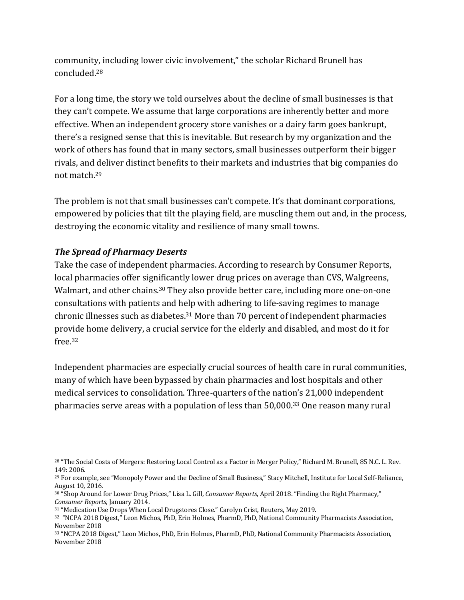community, including lower civic involvement," the scholar Richard Brunell has concluded.28

For a long time, the story we told ourselves about the decline of small businesses is that they can't compete. We assume that large corporations are inherently better and more effective. When an independent grocery store vanishes or a dairy farm goes bankrupt, there's a resigned sense that this is inevitable. But research by my organization and the work of others has found that in many sectors, small businesses outperform their bigger rivals, and deliver distinct benefits to their markets and industries that big companies do not match.<sup>29</sup>

The problem is not that small businesses can't compete. It's that dominant corporations, empowered by policies that tilt the playing field, are muscling them out and, in the process, destroying the economic vitality and resilience of many small towns.

#### **The Spread of Pharmacy Deserts**

Take the case of independent pharmacies. According to research by Consumer Reports, local pharmacies offer significantly lower drug prices on average than CVS, Walgreens, Walmart, and other chains.<sup>30</sup> They also provide better care, including more one-on-one consultations with patients and help with adhering to life-saving regimes to manage chronic illnesses such as diabetes. $31$  More than 70 percent of independent pharmacies provide home delivery, a crucial service for the elderly and disabled, and most do it for free.32

Independent pharmacies are especially crucial sources of health care in rural communities, many of which have been bypassed by chain pharmacies and lost hospitals and other medical services to consolidation. Three-quarters of the nation's 21,000 independent pharmacies serve areas with a population of less than  $50,000$ .<sup>33</sup> One reason many rural

<sup>&</sup>lt;sup>28</sup> "The Social Costs of Mergers: Restoring Local Control as a Factor in Merger Policy," Richard M. Brunell, 85 N.C. L. Rev. 149: 2006.

<sup>&</sup>lt;sup>29</sup> For example, see "Monopoly Power and the Decline of Small Business," Stacy Mitchell, Institute for Local Self-Reliance, August 10, 2016.

<sup>30 &</sup>quot;Shop Around for Lower Drug Prices," Lisa L. Gill, *Consumer Reports*, April 2018. "Finding the Right Pharmacy," *Consumer Reports*, January 2014.

<sup>&</sup>lt;sup>31</sup> "Medication Use Drops When Local Drugstores Close." Carolyn Crist, Reuters, May 2019.

<sup>&</sup>lt;sup>32</sup> "NCPA 2018 Digest," Leon Michos, PhD, Erin Holmes, PharmD, PhD, National Community Pharmacists Association, November 2018

<sup>33 &</sup>quot;NCPA 2018 Digest," Leon Michos, PhD, Erin Holmes, PharmD, PhD, National Community Pharmacists Association, November 2018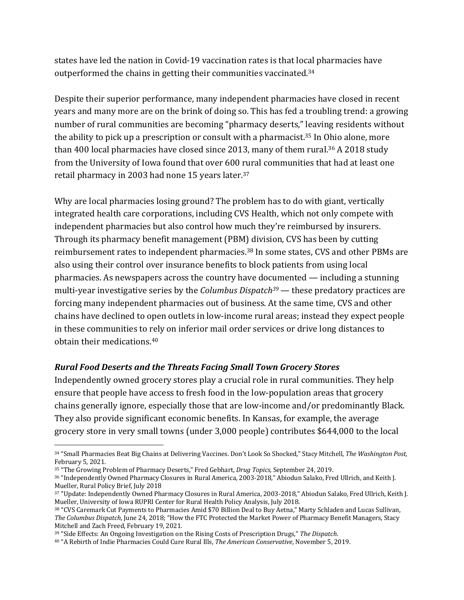states have led the nation in Covid-19 vaccination rates is that local pharmacies have outperformed the chains in getting their communities vaccinated.<sup>34</sup>

Despite their superior performance, many independent pharmacies have closed in recent years and many more are on the brink of doing so. This has fed a troubling trend: a growing number of rural communities are becoming "pharmacy deserts," leaving residents without the ability to pick up a prescription or consult with a pharmacist.<sup>35</sup> In Ohio alone, more than 400 local pharmacies have closed since 2013, many of them rural.<sup>36</sup> A 2018 study from the University of Iowa found that over 600 rural communities that had at least one retail pharmacy in 2003 had none 15 years later. $37$ 

Why are local pharmacies losing ground? The problem has to do with giant, vertically integrated health care corporations, including CVS Health, which not only compete with independent pharmacies but also control how much they're reimbursed by insurers. Through its pharmacy benefit management (PBM) division, CVS has been by cutting reimbursement rates to independent pharmacies.<sup>38</sup> In some states, CVS and other PBMs are also using their control over insurance benefits to block patients from using local pharmacies. As newspapers across the country have documented  $-$  including a stunning multi-year investigative series by the *Columbus Dispatch*<sup>39</sup> — these predatory practices are forcing many independent pharmacies out of business. At the same time, CVS and other chains have declined to open outlets in low-income rural areas; instead they expect people in these communities to rely on inferior mail order services or drive long distances to obtain their medications.<sup>40</sup>

#### **Rural Food Deserts and the Threats Facing Small Town Grocery Stores**

Independently owned grocery stores play a crucial role in rural communities. They help ensure that people have access to fresh food in the low-population areas that grocery chains generally ignore, especially those that are low-income and/or predominantly Black. They also provide significant economic benefits. In Kansas, for example, the average grocery store in very small towns (under 3,000 people) contributes \$644,000 to the local

<sup>34 &</sup>quot;Small Pharmacies Beat Big Chains at Delivering Vaccines. Don't Look So Shocked," Stacy Mitchell, The Washington Post, February 5, 2021.

<sup>35 &</sup>quot;The Growing Problem of Pharmacy Deserts," Fred Gebhart, *Drug Topics*, September 24, 2019.

<sup>36 &</sup>quot;Independently Owned Pharmacy Closures in Rural America, 2003-2018," Abiodun Salako, Fred Ullrich, and Keith J. Mueller, Rural Policy Brief, July 2018

<sup>37 &</sup>quot;Update: Independently Owned Pharmacy Closures in Rural America, 2003-2018," Abiodun Salako, Fred Ullrich, Keith J. Mueller, University of Iowa RUPRI Center for Rural Health Policy Analysis, July 2018.

<sup>38 &</sup>quot;CVS Caremark Cut Payments to Pharmacies Amid \$70 Billion Deal to Buy Aetna," Marty Schladen and Lucas Sullivan, *The Columbus Dispatch*, June 24, 2018; "How the FTC Protected the Market Power of Pharmacy Benefit Managers, Stacy Mitchell and Zach Freed, February 19, 2021.

<sup>&</sup>lt;sup>39</sup> "Side Effects: An Ongoing Investigation on the Rising Costs of Prescription Drugs," The Dispatch.

<sup>40 &</sup>quot;A Rebirth of Indie Pharmacies Could Cure Rural Ills, *The American Conservative*, November 5, 2019.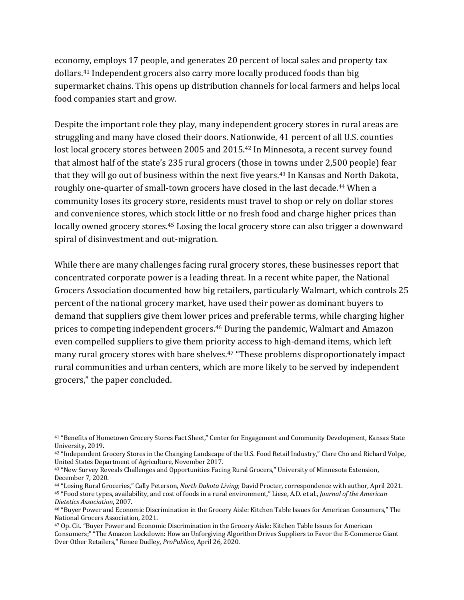economy, employs 17 people, and generates 20 percent of local sales and property tax dollars.<sup>41</sup> Independent grocers also carry more locally produced foods than big supermarket chains. This opens up distribution channels for local farmers and helps local food companies start and grow.

Despite the important role they play, many independent grocery stores in rural areas are struggling and many have closed their doors. Nationwide, 41 percent of all U.S. counties lost local grocery stores between 2005 and 2015.<sup>42</sup> In Minnesota, a recent survey found that almost half of the state's 235 rural grocers (those in towns under 2,500 people) fear that they will go out of business within the next five years.<sup>43</sup> In Kansas and North Dakota, roughly one-quarter of small-town grocers have closed in the last decade.<sup>44</sup> When a community loses its grocery store, residents must travel to shop or rely on dollar stores and convenience stores, which stock little or no fresh food and charge higher prices than locally owned grocery stores.<sup>45</sup> Losing the local grocery store can also trigger a downward spiral of disinvestment and out-migration.

While there are many challenges facing rural grocery stores, these businesses report that concentrated corporate power is a leading threat. In a recent white paper, the National Grocers Association documented how big retailers, particularly Walmart, which controls 25 percent of the national grocery market, have used their power as dominant buyers to demand that suppliers give them lower prices and preferable terms, while charging higher prices to competing independent grocers.<sup>46</sup> During the pandemic, Walmart and Amazon even compelled suppliers to give them priority access to high-demand items, which left many rural grocery stores with bare shelves.<sup>47</sup> "These problems disproportionately impact rural communities and urban centers, which are more likely to be served by independent grocers," the paper concluded.

<sup>&</sup>lt;sup>41</sup> "Benefits of Hometown Grocery Stores Fact Sheet," Center for Engagement and Community Development, Kansas State University, 2019.

<sup>42 &</sup>quot;Independent Grocery Stores in the Changing Landscape of the U.S. Food Retail Industry," Clare Cho and Richard Volpe, United States Department of Agriculture, November 2017.

<sup>&</sup>lt;sup>43</sup> "New Survey Reveals Challenges and Opportunities Facing Rural Grocers," University of Minnesota Extension, December 7, 2020. 

<sup>44 &</sup>quot;Losing Rural Groceries," Cally Peterson, *North Dakota Living*; David Procter, correspondence with author, April 2021. <sup>45</sup> "Food store types, availability, and cost of foods in a rural environment," Liese, A.D. et al., *Journal of the American Dietetics Association*, 2007.

<sup>&</sup>lt;sup>46</sup> "Buyer Power and Economic Discrimination in the Grocery Aisle: Kitchen Table Issues for American Consumers," The National Grocers Association, 2021.

<sup>&</sup>lt;sup>47</sup> Op. Cit. "Buyer Power and Economic Discrimination in the Grocery Aisle: Kitchen Table Issues for American Consumers;" "The Amazon Lockdown: How an Unforgiving Algorithm Drives Suppliers to Favor the E-Commerce Giant Over Other Retailers," Renee Dudley, *ProPublica*, April 26, 2020.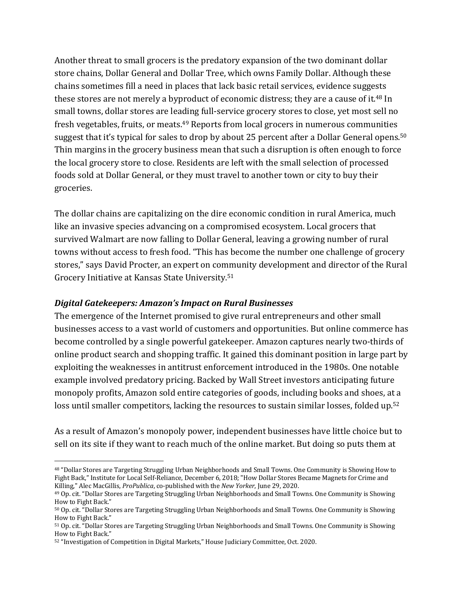Another threat to small grocers is the predatory expansion of the two dominant dollar store chains, Dollar General and Dollar Tree, which owns Family Dollar. Although these chains sometimes fill a need in places that lack basic retail services, evidence suggests these stores are not merely a byproduct of economic distress; they are a cause of it.<sup>48</sup> In small towns, dollar stores are leading full-service grocery stores to close, yet most sell no fresh vegetables, fruits, or meats.<sup>49</sup> Reports from local grocers in numerous communities suggest that it's typical for sales to drop by about 25 percent after a Dollar General opens.<sup>50</sup> Thin margins in the grocery business mean that such a disruption is often enough to force the local grocery store to close. Residents are left with the small selection of processed foods sold at Dollar General, or they must travel to another town or city to buy their groceries. 

The dollar chains are capitalizing on the dire economic condition in rural America, much like an invasive species advancing on a compromised ecosystem. Local grocers that survived Walmart are now falling to Dollar General, leaving a growing number of rural towns without access to fresh food. "This has become the number one challenge of grocery stores," says David Procter, an expert on community development and director of the Rural Grocery Initiative at Kansas State University.<sup>51</sup>

#### *Digital Gatekeepers: Amazon's Impact on Rural Businesses*

The emergence of the Internet promised to give rural entrepreneurs and other small businesses access to a vast world of customers and opportunities. But online commerce has become controlled by a single powerful gatekeeper. Amazon captures nearly two-thirds of online product search and shopping traffic. It gained this dominant position in large part by exploiting the weaknesses in antitrust enforcement introduced in the 1980s. One notable example involved predatory pricing. Backed by Wall Street investors anticipating future monopoly profits, Amazon sold entire categories of goods, including books and shoes, at a loss until smaller competitors, lacking the resources to sustain similar losses, folded up.<sup>52</sup>

As a result of Amazon's monopoly power, independent businesses have little choice but to sell on its site if they want to reach much of the online market. But doing so puts them at

<sup>48 &</sup>quot;Dollar Stores are Targeting Struggling Urban Neighborhoods and Small Towns. One Community is Showing How to Fight Back," Institute for Local Self-Reliance, December 6, 2018; "How Dollar Stores Became Magnets for Crime and Killing," Alec MacGillis, *ProPublica*, co-published with the *New Yorker*, June 29, 2020.

<sup>&</sup>lt;sup>49</sup> Op. cit. "Dollar Stores are Targeting Struggling Urban Neighborhoods and Small Towns. One Community is Showing How to Fight Back."

<sup>50</sup> Op. cit. "Dollar Stores are Targeting Struggling Urban Neighborhoods and Small Towns. One Community is Showing How to Fight Back."

<sup>51</sup> Op. cit. "Dollar Stores are Targeting Struggling Urban Neighborhoods and Small Towns. One Community is Showing How to Fight Back."

<sup>52 &</sup>quot;Investigation of Competition in Digital Markets," House Judiciary Committee, Oct. 2020.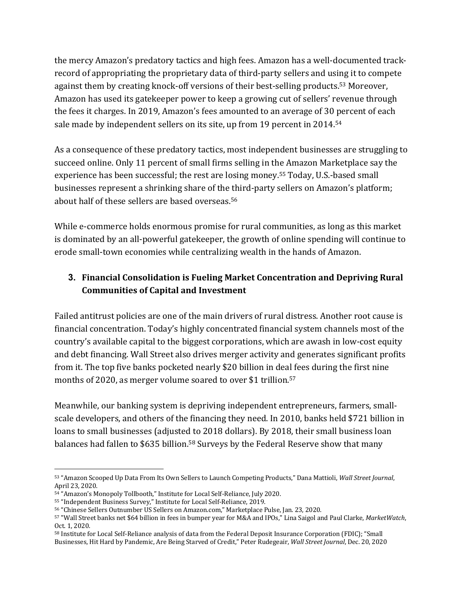the mercy Amazon's predatory tactics and high fees. Amazon has a well-documented trackrecord of appropriating the proprietary data of third-party sellers and using it to compete against them by creating knock-off versions of their best-selling products.<sup>53</sup> Moreover, Amazon has used its gatekeeper power to keep a growing cut of sellers' revenue through the fees it charges. In 2019, Amazon's fees amounted to an average of 30 percent of each sale made by independent sellers on its site, up from 19 percent in 2014.<sup>54</sup>

As a consequence of these predatory tactics, most independent businesses are struggling to succeed online. Only 11 percent of small firms selling in the Amazon Marketplace say the experience has been successful; the rest are losing money.<sup>55</sup> Today, U.S.-based small businesses represent a shrinking share of the third-party sellers on Amazon's platform; about half of these sellers are based overseas.<sup>56</sup>

While e-commerce holds enormous promise for rural communities, as long as this market is dominated by an all-powerful gatekeeper, the growth of online spending will continue to erode small-town economies while centralizing wealth in the hands of Amazon.

#### **3. Financial Consolidation is Fueling Market Concentration and Depriving Rural Communities of Capital and Investment**

Failed antitrust policies are one of the main drivers of rural distress. Another root cause is financial concentration. Today's highly concentrated financial system channels most of the country's available capital to the biggest corporations, which are awash in low-cost equity and debt financing. Wall Street also drives merger activity and generates significant profits from it. The top five banks pocketed nearly \$20 billion in deal fees during the first nine months of 2020, as merger volume soared to over \$1 trillion. $57$ 

Meanwhile, our banking system is depriving independent entrepreneurs, farmers, smallscale developers, and others of the financing they need. In 2010, banks held \$721 billion in loans to small businesses (adjusted to 2018 dollars). By 2018, their small business loan balances had fallen to \$635 billion.<sup>58</sup> Surveys by the Federal Reserve show that many

<sup>53 &</sup>quot;Amazon Scooped Up Data From Its Own Sellers to Launch Competing Products," Dana Mattioli, *Wall Street Journal*, April 23, 2020.

<sup>54 &</sup>quot;Amazon's Monopoly Tollbooth," Institute for Local Self-Reliance, July 2020.

<sup>55 &</sup>quot;Independent Business Survey," Institute for Local Self-Reliance, 2019.

<sup>56 &</sup>quot;Chinese Sellers Outnumber US Sellers on Amazon.com," Marketplace Pulse, Jan. 23, 2020.

<sup>57 &</sup>quot;Wall Street banks net \$64 billion in fees in bumper year for M&A and IPOs," Lina Saigol and Paul Clarke, *MarketWatch*, Oct. 1, 2020.

<sup>58</sup> Institute for Local Self-Reliance analysis of data from the Federal Deposit Insurance Corporation (FDIC); "Small Businesses, Hit Hard by Pandemic, Are Being Starved of Credit," Peter Rudegeair, *Wall Street Journal*, Dec. 20, 2020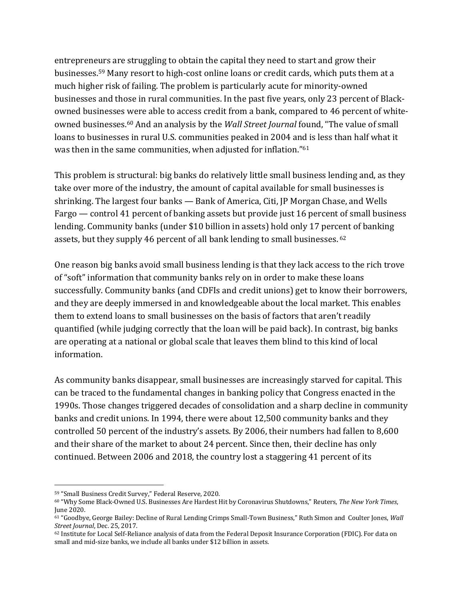entrepreneurs are struggling to obtain the capital they need to start and grow their businesses.<sup>59</sup> Many resort to high-cost online loans or credit cards, which puts them at a much higher risk of failing. The problem is particularly acute for minority-owned businesses and those in rural communities. In the past five years, only 23 percent of Blackowned businesses were able to access credit from a bank, compared to 46 percent of whiteowned businesses.<sup>60</sup> And an analysis by the *Wall Street Journal* found, "The value of small loans to businesses in rural U.S. communities peaked in 2004 and is less than half what it was then in the same communities, when adjusted for inflation."<sup>61</sup>

This problem is structural: big banks do relatively little small business lending and, as they take over more of the industry, the amount of capital available for small businesses is shrinking. The largest four banks  $-$  Bank of America, Citi, JP Morgan Chase, and Wells Fargo  $-$  control 41 percent of banking assets but provide just 16 percent of small business lending. Community banks (under \$10 billion in assets) hold only 17 percent of banking assets, but they supply 46 percent of all bank lending to small businesses.  $62$ 

One reason big banks avoid small business lending is that they lack access to the rich trove of "soft" information that community banks rely on in order to make these loans successfully. Community banks (and CDFIs and credit unions) get to know their borrowers, and they are deeply immersed in and knowledgeable about the local market. This enables them to extend loans to small businesses on the basis of factors that aren't readily quantified (while judging correctly that the loan will be paid back). In contrast, big banks are operating at a national or global scale that leaves them blind to this kind of local information. 

As community banks disappear, small businesses are increasingly starved for capital. This can be traced to the fundamental changes in banking policy that Congress enacted in the 1990s. Those changes triggered decades of consolidation and a sharp decline in community banks and credit unions. In 1994, there were about 12,500 community banks and they controlled 50 percent of the industry's assets. By 2006, their numbers had fallen to 8,600 and their share of the market to about 24 percent. Since then, their decline has only continued. Between 2006 and 2018, the country lost a staggering 41 percent of its

<sup>59 &</sup>quot;Small Business Credit Survey," Federal Reserve, 2020.

<sup>&</sup>lt;sup>60</sup> "Why Some Black-Owned U.S. Businesses Are Hardest Hit by Coronavirus Shutdowns," Reuters, The New York Times, June 2020.

<sup>61 &</sup>quot;Goodbye, George Bailey: Decline of Rural Lending Crimps Small-Town Business," Ruth Simon and Coulter Jones, *Wall Street Journal*, Dec. 25, 2017. 

<sup>62</sup> Institute for Local Self-Reliance analysis of data from the Federal Deposit Insurance Corporation (FDIC). For data on small and mid-size banks, we include all banks under \$12 billion in assets.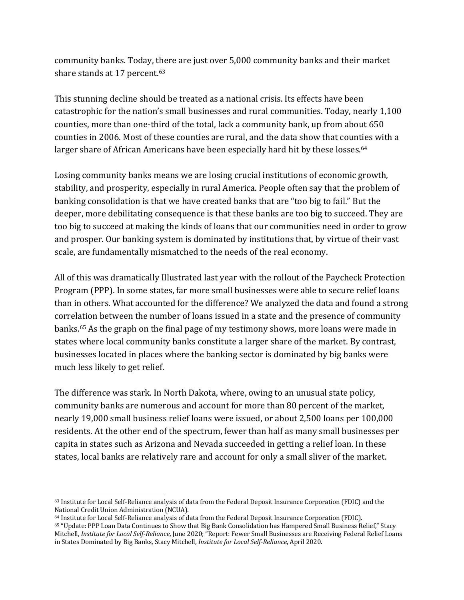community banks. Today, there are just over 5,000 community banks and their market share stands at 17 percent.<sup>63</sup>

This stunning decline should be treated as a national crisis. Its effects have been catastrophic for the nation's small businesses and rural communities. Today, nearly 1,100 counties, more than one-third of the total, lack a community bank, up from about 650 counties in 2006. Most of these counties are rural, and the data show that counties with a larger share of African Americans have been especially hard hit by these losses.<sup>64</sup>

Losing community banks means we are losing crucial institutions of economic growth, stability, and prosperity, especially in rural America. People often say that the problem of banking consolidation is that we have created banks that are "too big to fail." But the deeper, more debilitating consequence is that these banks are too big to succeed. They are too big to succeed at making the kinds of loans that our communities need in order to grow and prosper. Our banking system is dominated by institutions that, by virtue of their vast scale, are fundamentally mismatched to the needs of the real economy.

All of this was dramatically Illustrated last year with the rollout of the Paycheck Protection Program (PPP). In some states, far more small businesses were able to secure relief loans than in others. What accounted for the difference? We analyzed the data and found a strong correlation between the number of loans issued in a state and the presence of community banks.<sup>65</sup> As the graph on the final page of my testimony shows, more loans were made in states where local community banks constitute a larger share of the market. By contrast, businesses located in places where the banking sector is dominated by big banks were much less likely to get relief.

The difference was stark. In North Dakota, where, owing to an unusual state policy, community banks are numerous and account for more than 80 percent of the market, nearly 19,000 small business relief loans were issued, or about 2,500 loans per 100,000 residents. At the other end of the spectrum, fewer than half as many small businesses per capita in states such as Arizona and Nevada succeeded in getting a relief loan. In these states, local banks are relatively rare and account for only a small sliver of the market.

<sup>63</sup> Institute for Local Self-Reliance analysis of data from the Federal Deposit Insurance Corporation (FDIC) and the National Credit Union Administration (NCUA).

<sup>&</sup>lt;sup>64</sup> Institute for Local Self-Reliance analysis of data from the Federal Deposit Insurance Corporation (FDIC). 65 "Update: PPP Loan Data Continues to Show that Big Bank Consolidation has Hampered Small Business Relief," Stacy Mitchell, *Institute for Local Self-Reliance*, June 2020; "Report: Fewer Small Businesses are Receiving Federal Relief Loans in States Dominated by Big Banks, Stacy Mitchell, *Institute for Local Self-Reliance*, April 2020.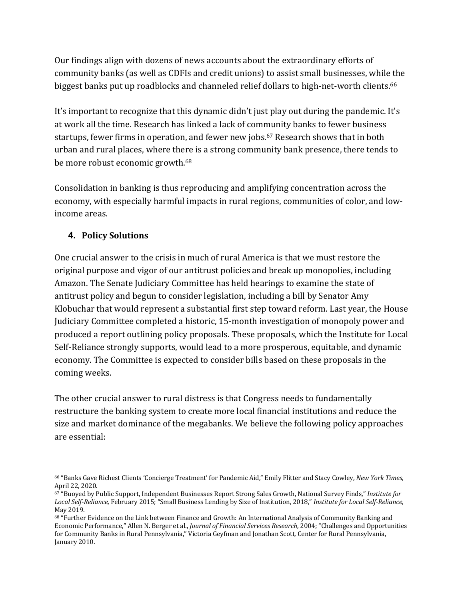Our findings align with dozens of news accounts about the extraordinary efforts of community banks (as well as CDFIs and credit unions) to assist small businesses, while the biggest banks put up roadblocks and channeled relief dollars to high-net-worth clients.<sup>66</sup>

It's important to recognize that this dynamic didn't just play out during the pandemic. It's at work all the time. Research has linked a lack of community banks to fewer business startups, fewer firms in operation, and fewer new jobs.<sup>67</sup> Research shows that in both urban and rural places, where there is a strong community bank presence, there tends to be more robust economic growth.<sup>68</sup>

Consolidation in banking is thus reproducing and amplifying concentration across the economy, with especially harmful impacts in rural regions, communities of color, and lowincome areas.

#### **4. Policy Solutions**

One crucial answer to the crisis in much of rural America is that we must restore the original purpose and vigor of our antitrust policies and break up monopolies, including Amazon. The Senate Judiciary Committee has held hearings to examine the state of antitrust policy and begun to consider legislation, including a bill by Senator Amy Klobuchar that would represent a substantial first step toward reform. Last year, the House Judiciary Committee completed a historic, 15-month investigation of monopoly power and produced a report outlining policy proposals. These proposals, which the Institute for Local Self-Reliance strongly supports, would lead to a more prosperous, equitable, and dynamic economy. The Committee is expected to consider bills based on these proposals in the coming weeks.

The other crucial answer to rural distress is that Congress needs to fundamentally restructure the banking system to create more local financial institutions and reduce the size and market dominance of the megabanks. We believe the following policy approaches are essential:

<sup>&</sup>lt;sup>66</sup> "Banks Gave Richest Clients 'Concierge Treatment' for Pandemic Aid," Emily Flitter and Stacy Cowley, *New York Times*, April 22, 2020.

<sup>67 &</sup>quot;Buoyed by Public Support, Independent Businesses Report Strong Sales Growth, National Survey Finds," *Institute for* Local Self-Reliance, February 2015; "Small Business Lending by Size of Institution, 2018," *Institute for Local Self-Reliance*, May 2019.

<sup>68 &</sup>quot;Further Evidence on the Link between Finance and Growth: An International Analysis of Community Banking and Economic Performance," Allen N. Berger et al., *Journal of Financial Services Research*, 2004; "Challenges and Opportunities for Community Banks in Rural Pennsylvania," Victoria Geyfman and Jonathan Scott, Center for Rural Pennsylvania, January 2010.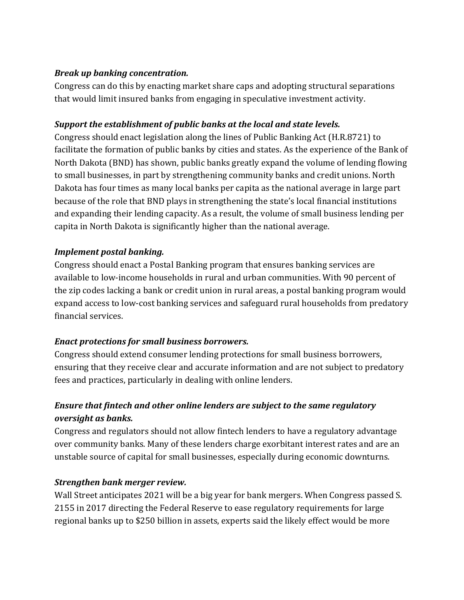#### *Break up banking concentration.*

Congress can do this by enacting market share caps and adopting structural separations that would limit insured banks from engaging in speculative investment activity.

#### *Support the establishment of public banks at the local and state levels.*

Congress should enact legislation along the lines of Public Banking Act (H.R.8721) to facilitate the formation of public banks by cities and states. As the experience of the Bank of North Dakota (BND) has shown, public banks greatly expand the volume of lending flowing to small businesses, in part by strengthening community banks and credit unions. North Dakota has four times as many local banks per capita as the national average in large part because of the role that BND plays in strengthening the state's local financial institutions and expanding their lending capacity. As a result, the volume of small business lending per capita in North Dakota is significantly higher than the national average.

#### *Implement postal banking.*

Congress should enact a Postal Banking program that ensures banking services are available to low-income households in rural and urban communities. With 90 percent of the zip codes lacking a bank or credit union in rural areas, a postal banking program would expand access to low-cost banking services and safeguard rural households from predatory financial services.

#### *Enact protections for small business borrowers.*

Congress should extend consumer lending protections for small business borrowers, ensuring that they receive clear and accurate information and are not subject to predatory fees and practices, particularly in dealing with online lenders.

#### *Ensure that fintech and other online lenders are subject to the same regulatory <u>oversight</u>* as banks.

Congress and regulators should not allow fintech lenders to have a regulatory advantage over community banks. Many of these lenders charge exorbitant interest rates and are an unstable source of capital for small businesses, especially during economic downturns.

#### *Strengthen bank merger review.*

Wall Street anticipates 2021 will be a big year for bank mergers. When Congress passed S. 2155 in 2017 directing the Federal Reserve to ease regulatory requirements for large regional banks up to \$250 billion in assets, experts said the likely effect would be more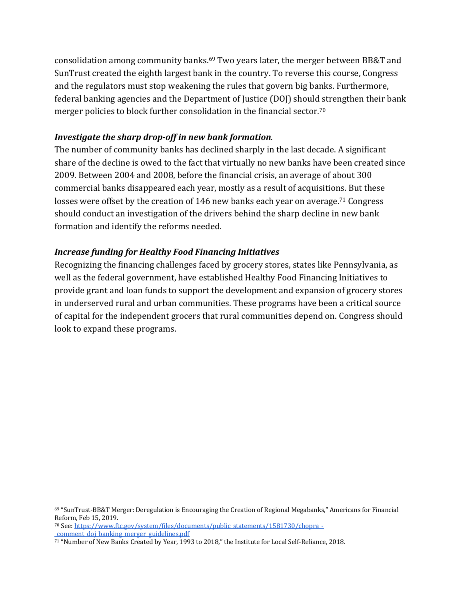consolidation among community banks.<sup>69</sup> Two years later, the merger between BB&T and SunTrust created the eighth largest bank in the country. To reverse this course, Congress and the regulators must stop weakening the rules that govern big banks. Furthermore, federal banking agencies and the Department of Justice (DOJ) should strengthen their bank merger policies to block further consolidation in the financial sector.<sup>70</sup>

#### *Investigate the sharp drop-off in new bank formation.*

The number of community banks has declined sharply in the last decade. A significant share of the decline is owed to the fact that virtually no new banks have been created since 2009. Between 2004 and 2008, before the financial crisis, an average of about 300 commercial banks disappeared each year, mostly as a result of acquisitions. But these losses were offset by the creation of 146 new banks each year on average.<sup>71</sup> Congress should conduct an investigation of the drivers behind the sharp decline in new bank formation and identify the reforms needed.

#### *Increase funding for Healthy Food Financing Initiatives*

Recognizing the financing challenges faced by grocery stores, states like Pennsylvania, as well as the federal government, have established Healthy Food Financing Initiatives to provide grant and loan funds to support the development and expansion of grocery stores in underserved rural and urban communities. These programs have been a critical source of capital for the independent grocers that rural communities depend on. Congress should look to expand these programs.

<sup>70</sup> See: https://www.ftc.gov/system/files/documents/public\_statements/1581730/chopra\_- \_comment\_doj\_banking\_merger\_guidelines.pdf

 $69$  "SunTrust-BB&T Merger: Deregulation is Encouraging the Creation of Regional Megabanks," Americans for Financial Reform, Feb 15, 2019.

<sup>71 &</sup>quot;Number of New Banks Created by Year, 1993 to 2018," the Institute for Local Self-Reliance, 2018.